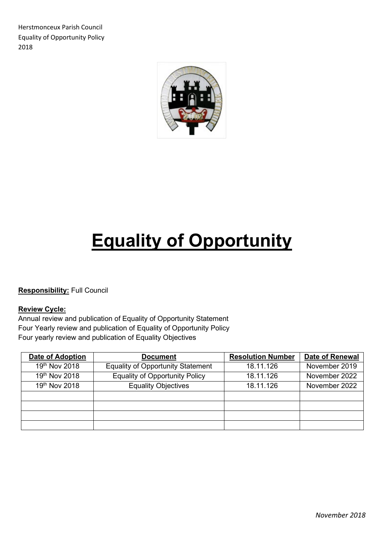Herstmonceux Parish Council Equality of Opportunity Policy 2018



# **Equality of Opportunity**

**Responsibility:** Full Council

#### **Review Cycle:**

Annual review and publication of Equality of Opportunity Statement Four Yearly review and publication of Equality of Opportunity Policy Four yearly review and publication of Equality Objectives

| <b>Date of Adoption</b> | <b>Document</b>                          | <b>Resolution Number</b> | <b>Date of Renewal</b> |
|-------------------------|------------------------------------------|--------------------------|------------------------|
| 19th Nov 2018           | <b>Equality of Opportunity Statement</b> | 18.11.126                | November 2019          |
| 19th Nov 2018           | <b>Equality of Opportunity Policy</b>    | 18.11.126                | November 2022          |
| 19th Nov 2018           | <b>Equality Objectives</b>               | 18.11.126                | November 2022          |
|                         |                                          |                          |                        |
|                         |                                          |                          |                        |
|                         |                                          |                          |                        |
|                         |                                          |                          |                        |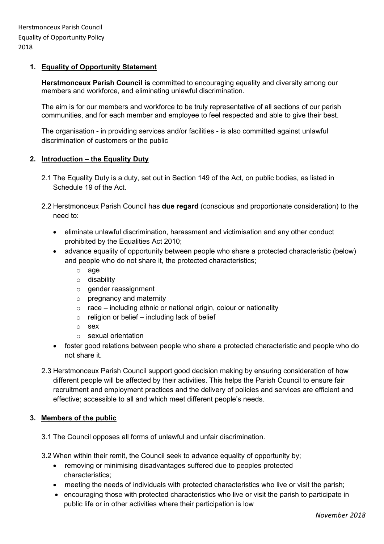# **1. Equality of Opportunity Statement**

**Herstmonceux Parish Council is** committed to encouraging equality and diversity among our members and workforce, and eliminating unlawful discrimination.

The aim is for our members and workforce to be truly representative of all sections of our parish communities, and for each member and employee to feel respected and able to give their best.

The organisation - in providing services and/or facilities - is also committed against unlawful discrimination of customers or the public

#### **2. Introduction – the Equality Duty**

- 2.1 The Equality Duty is a duty, set out in Section 149 of the Act, on public bodies, as listed in Schedule 19 of the Act.
- 2.2 Herstmonceux Parish Council has **due regard** (conscious and proportionate consideration) to the need to:
	- eliminate unlawful discrimination, harassment and victimisation and any other conduct prohibited by the Equalities Act 2010;
	- advance equality of opportunity between people who share a protected characteristic (below) and people who do not share it, the protected characteristics;
		- o age
		- o disability
		- $\circ$  gender reassignment
		- o pregnancy and maternity
		- $\circ$  race including ethnic or national origin, colour or nationality
		- $\circ$  religion or belief including lack of belief
		- o sex
		- o sexual orientation
	- foster good relations between people who share a protected characteristic and people who do not share it.
- 2.3 Herstmonceux Parish Council support good decision making by ensuring consideration of how different people will be affected by their activities. This helps the Parish Council to ensure fair recruitment and employment practices and the delivery of policies and services are efficient and effective; accessible to all and which meet different people's needs.

#### **3. Members of the public**

- 3.1 The Council opposes all forms of unlawful and unfair discrimination.
- 3.2 When within their remit, the Council seek to advance equality of opportunity by;
	- removing or minimising disadvantages suffered due to peoples protected characteristics;
	- meeting the needs of individuals with protected characteristics who live or visit the parish;
	- encouraging those with protected characteristics who live or visit the parish to participate in public life or in other activities where their participation is low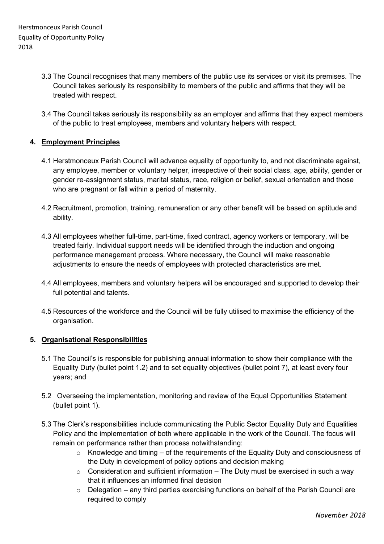- 3.3 The Council recognises that many members of the public use its services or visit its premises. The Council takes seriously its responsibility to members of the public and affirms that they will be treated with respect.
- 3.4 The Council takes seriously its responsibility as an employer and affirms that they expect members of the public to treat employees, members and voluntary helpers with respect.

# **4. Employment Principles**

- 4.1 Herstmonceux Parish Council will advance equality of opportunity to, and not discriminate against, any employee, member or voluntary helper, irrespective of their social class, age, ability, gender or gender re-assignment status, marital status, race, religion or belief, sexual orientation and those who are pregnant or fall within a period of maternity.
- 4.2 Recruitment, promotion, training, remuneration or any other benefit will be based on aptitude and ability.
- 4.3 All employees whether full-time, part-time, fixed contract, agency workers or temporary, will be treated fairly. Individual support needs will be identified through the induction and ongoing performance management process. Where necessary, the Council will make reasonable adjustments to ensure the needs of employees with protected characteristics are met.
- 4.4 All employees, members and voluntary helpers will be encouraged and supported to develop their full potential and talents.
- 4.5 Resources of the workforce and the Council will be fully utilised to maximise the efficiency of the organisation.

#### **5. Organisational Responsibilities**

- 5.1 The Council's is responsible for publishing annual information to show their compliance with the Equality Duty (bullet point 1.2) and to set equality objectives (bullet point 7), at least every four years; and
- 5.2 Overseeing the implementation, monitoring and review of the Equal Opportunities Statement (bullet point 1).
- 5.3 The Clerk's responsibilities include communicating the Public Sector Equality Duty and Equalities Policy and the implementation of both where applicable in the work of the Council. The focus will remain on performance rather than process notwithstanding:
	- $\circ$  Knowledge and timing of the requirements of the Equality Duty and consciousness of the Duty in development of policy options and decision making
	- $\circ$  Consideration and sufficient information The Duty must be exercised in such a way that it influences an informed final decision
	- $\circ$  Delegation any third parties exercising functions on behalf of the Parish Council are required to comply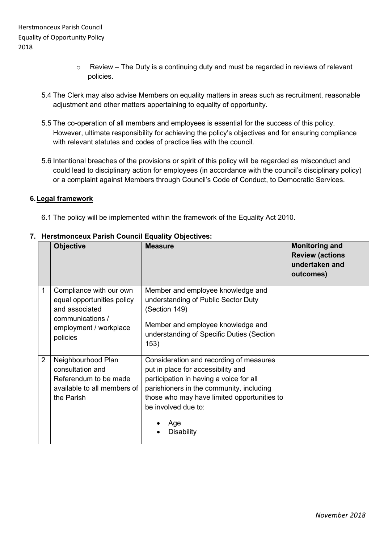- $\circ$  Review The Duty is a continuing duty and must be regarded in reviews of relevant policies.
- 5.4 The Clerk may also advise Members on equality matters in areas such as recruitment, reasonable adjustment and other matters appertaining to equality of opportunity.
- 5.5 The co-operation of all members and employees is essential for the success of this policy. However, ultimate responsibility for achieving the policy's objectives and for ensuring compliance with relevant statutes and codes of practice lies with the council.
- 5.6 Intentional breaches of the provisions or spirit of this policy will be regarded as misconduct and could lead to disciplinary action for employees (in accordance with the council's disciplinary policy) or a complaint against Members through Council's Code of Conduct, to Democratic Services.

# **6.Legal framework**

6.1 The policy will be implemented within the framework of the Equality Act 2010.

|                | <b>Objective</b>                                                                                                                  | <b>Measure</b>                                                                                                                                                                                                                                                  | <b>Monitoring and</b><br><b>Review (actions</b><br>undertaken and<br>outcomes) |
|----------------|-----------------------------------------------------------------------------------------------------------------------------------|-----------------------------------------------------------------------------------------------------------------------------------------------------------------------------------------------------------------------------------------------------------------|--------------------------------------------------------------------------------|
| 1              | Compliance with our own<br>equal opportunities policy<br>and associated<br>communications /<br>employment / workplace<br>policies | Member and employee knowledge and<br>understanding of Public Sector Duty<br>(Section 149)<br>Member and employee knowledge and<br>understanding of Specific Duties (Section<br>153)                                                                             |                                                                                |
| $\overline{2}$ | Neighbourhood Plan<br>consultation and<br>Referendum to be made<br>available to all members of<br>the Parish                      | Consideration and recording of measures<br>put in place for accessibility and<br>participation in having a voice for all<br>parishioners in the community, including<br>those who may have limited opportunities to<br>be involved due to:<br>Age<br>Disability |                                                                                |

# **7. Herstmonceux Parish Council Equality Objectives:**